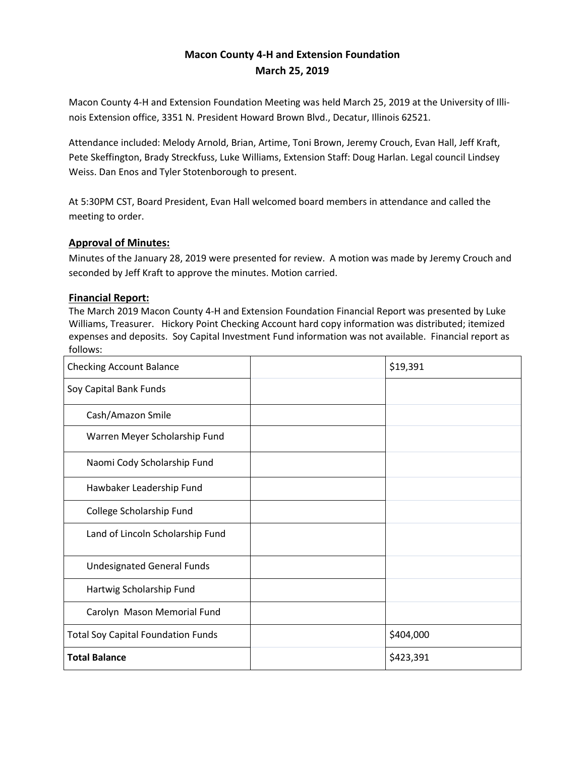# **Macon County 4-H and Extension Foundation March 25, 2019**

Macon County 4-H and Extension Foundation Meeting was held March 25, 2019 at the University of Illinois Extension office, 3351 N. President Howard Brown Blvd., Decatur, Illinois 62521.

Attendance included: Melody Arnold, Brian, Artime, Toni Brown, Jeremy Crouch, Evan Hall, Jeff Kraft, Pete Skeffington, Brady Streckfuss, Luke Williams, Extension Staff: Doug Harlan. Legal council Lindsey Weiss. Dan Enos and Tyler Stotenborough to present.

At 5:30PM CST, Board President, Evan Hall welcomed board members in attendance and called the meeting to order.

## **Approval of Minutes:**

Minutes of the January 28, 2019 were presented for review. A motion was made by Jeremy Crouch and seconded by Jeff Kraft to approve the minutes. Motion carried.

## **Financial Report:**

The March 2019 Macon County 4-H and Extension Foundation Financial Report was presented by Luke Williams, Treasurer. Hickory Point Checking Account hard copy information was distributed; itemized expenses and deposits. Soy Capital Investment Fund information was not available. Financial report as follows:

| <b>Checking Account Balance</b>           | \$19,391  |
|-------------------------------------------|-----------|
| Soy Capital Bank Funds                    |           |
| Cash/Amazon Smile                         |           |
| Warren Meyer Scholarship Fund             |           |
| Naomi Cody Scholarship Fund               |           |
| Hawbaker Leadership Fund                  |           |
| College Scholarship Fund                  |           |
| Land of Lincoln Scholarship Fund          |           |
| <b>Undesignated General Funds</b>         |           |
| Hartwig Scholarship Fund                  |           |
| Carolyn Mason Memorial Fund               |           |
| <b>Total Soy Capital Foundation Funds</b> | \$404,000 |
| <b>Total Balance</b>                      | \$423,391 |